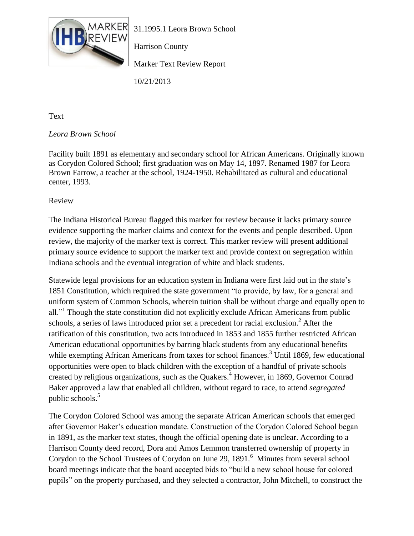

Harrison County

Marker Text Review Report

10/21/2013

Text

## *Leora Brown School*

Facility built 1891 as elementary and secondary school for African Americans. Originally known as Corydon Colored School; first graduation was on May 14, 1897. Renamed 1987 for Leora Brown Farrow, a teacher at the school, 1924-1950. Rehabilitated as cultural and educational center, 1993.

Review

The Indiana Historical Bureau flagged this marker for review because it lacks primary source evidence supporting the marker claims and context for the events and people described. Upon review, the majority of the marker text is correct. This marker review will present additional primary source evidence to support the marker text and provide context on segregation within Indiana schools and the eventual integration of white and black students.

Statewide legal provisions for an education system in Indiana were first laid out in the state's 1851 Constitution, which required the state government "to provide, by law, for a general and uniform system of Common Schools, wherein tuition shall be without charge and equally open to all."<sup>1</sup> Though the state constitution did not explicitly exclude African Americans from public schools, a series of laws introduced prior set a precedent for racial exclusion.<sup>2</sup> After the ratification of this constitution, two acts introduced in 1853 and 1855 further restricted African American educational opportunities by barring black students from any educational benefits while exempting African Americans from taxes for school finances.<sup>3</sup> Until 1869, few educational opportunities were open to black children with the exception of a handful of private schools created by religious organizations, such as the Quakers.<sup>4</sup> However, in 1869, Governor Conrad Baker approved a law that enabled all children, without regard to race, to attend *segregated* public schools.<sup>5</sup>

The Corydon Colored School was among the separate African American schools that emerged after Governor Baker's education mandate. Construction of the Corydon Colored School began in 1891, as the marker text states, though the official opening date is unclear. According to a Harrison County deed record, Dora and Amos Lemmon transferred ownership of property in Corydon to the School Trustees of Corydon on June 29, 1891.<sup>6</sup> Minutes from several school board meetings indicate that the board accepted bids to "build a new school house for colored pupils" on the property purchased, and they selected a contractor, John Mitchell, to construct the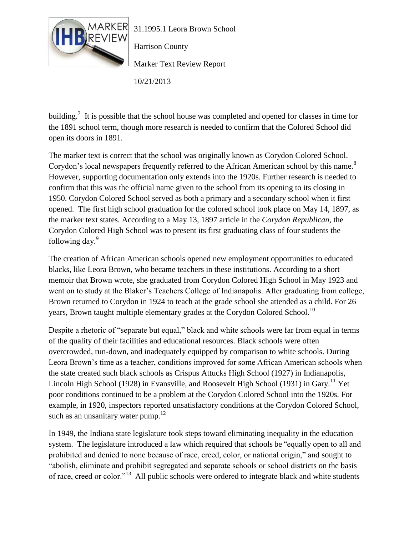

Harrison County

Marker Text Review Report

10/21/2013

building.<sup>7</sup> It is possible that the school house was completed and opened for classes in time for the 1891 school term, though more research is needed to confirm that the Colored School did open its doors in 1891.

The marker text is correct that the school was originally known as Corydon Colored School. Corydon's local newspapers frequently referred to the African American school by this name.<sup>8</sup> However, supporting documentation only extends into the 1920s. Further research is needed to confirm that this was the official name given to the school from its opening to its closing in 1950. Corydon Colored School served as both a primary and a secondary school when it first opened. The first high school graduation for the colored school took place on May 14, 1897, as the marker text states. According to a May 13, 1897 article in the *Corydon Republican*, the Corydon Colored High School was to present its first graduating class of four students the following day.<sup>9</sup>

The creation of African American schools opened new employment opportunities to educated blacks, like Leora Brown, who became teachers in these institutions. According to a short memoir that Brown wrote, she graduated from Corydon Colored High School in May 1923 and went on to study at the Blaker's Teachers College of Indianapolis. After graduating from college, Brown returned to Corydon in 1924 to teach at the grade school she attended as a child. For 26 years, Brown taught multiple elementary grades at the Corydon Colored School.<sup>10</sup>

Despite a rhetoric of "separate but equal," black and white schools were far from equal in terms of the quality of their facilities and educational resources. Black schools were often overcrowded, run-down, and inadequately equipped by comparison to white schools. During Leora Brown's time as a teacher, conditions improved for some African American schools when the state created such black schools as Crispus Attucks High School (1927) in Indianapolis, Lincoln High School (1928) in Evansville, and Roosevelt High School (1931) in Gary.<sup>11</sup> Yet poor conditions continued to be a problem at the Corydon Colored School into the 1920s. For example, in 1920, inspectors reported unsatisfactory conditions at the Corydon Colored School, such as an unsanitary water pump. $12$ 

In 1949, the Indiana state legislature took steps toward eliminating inequality in the education system. The legislature introduced a law which required that schools be "equally open to all and prohibited and denied to none because of race, creed, color, or national origin," and sought to "abolish, eliminate and prohibit segregated and separate schools or school districts on the basis of race, creed or color."<sup>13</sup> All public schools were ordered to integrate black and white students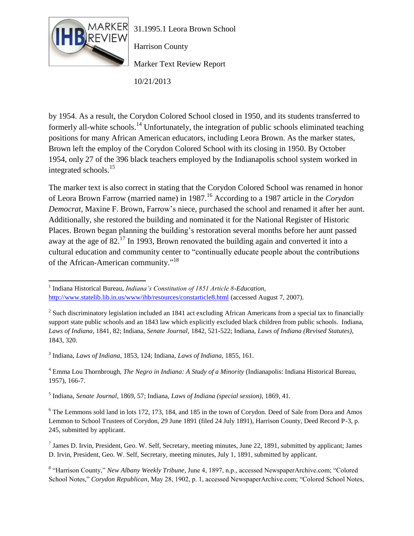

Harrison County

Marker Text Review Report

10/21/2013

by 1954. As a result, the Corydon Colored School closed in 1950, and its students transferred to formerly all-white schools.<sup>14</sup> Unfortunately, the integration of public schools eliminated teaching positions for many African American educators, including Leora Brown. As the marker states, Brown left the employ of the Corydon Colored School with its closing in 1950. By October 1954, only 27 of the 396 black teachers employed by the Indianapolis school system worked in integrated schools.<sup>15</sup>

The marker text is also correct in stating that the Corydon Colored School was renamed in honor of Leora Brown Farrow (married name) in 1987.<sup>16</sup> According to a 1987 article in the *Corydon Democrat,* Maxine F. Brown, Farrow's niece, purchased the school and renamed it after her aunt. Additionally, she restored the building and nominated it for the National Register of Historic Places. Brown began planning the building's restoration several months before her aunt passed away at the age of 82.<sup>17</sup> In 1993, Brown renovated the building again and converted it into a cultural education and community center to "continually educate people about the contributions of the African-American community."<sup>18</sup>

3 Indiana, *Laws of Indiana*, 1853, 124; Indiana, *Laws of Indiana*, 1855, 161.

<sup>4</sup> Emma Lou Thornbrough, *The Negro in Indiana: A Study of a Minority* (Indianapolis: Indiana Historical Bureau, 1957), 166-7.

5 Indiana, *Senate Journal*, 1869, 57; Indiana, *Laws of Indiana (special session)*, 1869, 41.

<sup>6</sup> The Lemmons sold land in lots 172, 173, 184, and 185 in the town of Corydon. Deed of Sale from Dora and Amos Lemmon to School Trustees of Corydon, 29 June 1891 (filed 24 July 1891), Harrison County, Deed Record P-3, p. 245, submitted by applicant.

 $^7$  James D. Irvin, President, Geo. W. Self, Secretary, meeting minutes, June 22, 1891, submitted by applicant; James D. Irvin, President, Geo. W. Self, Secretary, meeting minutes, July 1, 1891, submitted by applicant.

8 "Harrison County," *New Albany Weekly Tribune*, June 4, 1897, n.p., accessed NewspaperArchive.com; "Colored School Notes," *Corydon Republican*, May 28, 1902, p. 1, accessed NewspaperArchive.com; "Colored School Notes,

 $\overline{\phantom{a}}$ <sup>1</sup> Indiana Historical Bureau, *Indiana's Constitution of 1851 Article 8-Education*, <http://www.statelib.lib.in.us/www/ihb/resources/constarticle8.html> (accessed August 7, 2007).

 $2$  Such discriminatory legislation included an 1841 act excluding African Americans from a special tax to financially support state public schools and an 1843 law which explicitly excluded black children from public schools. Indiana, *Laws of Indiana*, 1841, 82; Indiana, *Senate Journal*, 1842, 521-522; Indiana, *Laws of Indiana (Revised Statutes)*, 1843, 320.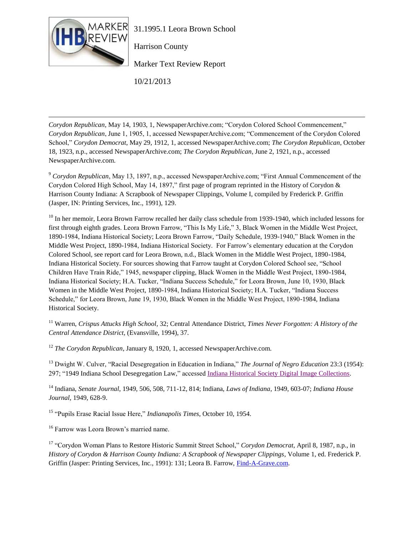

Harrison County

Marker Text Review Report

10/21/2013

 $\overline{\phantom{a}}$ *Corydon Republican*, May 14, 1903, 1, NewspaperArchive.com; "Corydon Colored School Commencement," *Corydon Republican*, June 1, 1905, 1, accessed NewspaperArchive.com; "Commencement of the Corydon Colored School," *Corydon Democrat*, May 29, 1912, 1, accessed NewspaperArchive.com; *The Corydon Republican*, October 18, 1923, n.p., accessed NewspaperArchive.com; *The Corydon Republican*, June 2, 1921, n.p., accessed NewspaperArchive.com.

<sup>9</sup> *Corydon Republican*, May 13, 1897, n.p., accessed NewspaperArchive.com; "First Annual Commencement of the Corydon Colored High School, May 14, 1897," first page of program reprinted in the History of Corydon & Harrison County Indiana: A Scrapbook of Newspaper Clippings, Volume I, compiled by Frederick P. Griffin (Jasper, IN: Printing Services, Inc., 1991), 129.

<sup>10</sup> In her memoir, Leora Brown Farrow recalled her daily class schedule from 1939-1940, which included lessons for first through eighth grades. Leora Brown Farrow, "This Is My Life," 3, Black Women in the Middle West Project, 1890-1984, Indiana Historical Society; Leora Brown Farrow, "Daily Schedule, 1939-1940," Black Women in the Middle West Project, 1890-1984, Indiana Historical Society. For Farrow's elementary education at the Corydon Colored School, see report card for Leora Brown, n.d., Black Women in the Middle West Project, 1890-1984, Indiana Historical Society. For sources showing that Farrow taught at Corydon Colored School see, "School Children Have Train Ride," 1945, newspaper clipping, Black Women in the Middle West Project, 1890-1984, Indiana Historical Society; H.A. Tucker, "Indiana Success Schedule," for Leora Brown, June 10, 1930, Black Women in the Middle West Project, 1890-1984, Indiana Historical Society; H.A. Tucker, "Indiana Success Schedule," for Leora Brown, June 19, 1930, Black Women in the Middle West Project, 1890-1984, Indiana Historical Society.

<sup>11</sup> Warren, *Crispus Attucks High School*, 32; Central Attendance District, *Times Never Forgotten: A History of the Central Attendance District,* (Evansville, 1994), 37.

<sup>12</sup> *The Corydon Republican*, January 8, 1920, 1, accessed NewspaperArchive.com.

<sup>13</sup> Dwight W. Culver, "Racial Desegregation in Education in Indiana," *The Journal of Negro Education* 23:3 (1954): 297; "1949 Indiana School Desegregation Law," accessed [Indiana Historical Society Digital Image Collections.](http://images.indianahistory.org/cdm4/item_viewer.php?CISOROOT=/V0002&CISOPTR=1383&CISOBOX=1&REC=1)

<sup>14</sup> Indiana, *Senate Journal*, 1949, 506, 508, 711-12, 814; Indiana, *Laws of Indiana*, 1949, 603-07; *Indiana House Journal*, 1949, 628-9.

<sup>15</sup> "Pupils Erase Racial Issue Here," *Indianapolis Times*, October 10, 1954.

<sup>16</sup> Farrow was Leora Brown's married name.

<sup>17</sup> "Corydon Woman Plans to Restore Historic Summit Street School," *Corydon Democrat*, April 8, 1987, n.p., in *History of Corydon & Harrison County Indiana: A Scrapbook of Newspaper Clippings*, Volume 1, ed. Frederick P. Griffin (Jasper: Printing Services, Inc., 1991): 131; Leora B. Farrow, [Find-A-Grave.com.](http://www.findagrave.com/cgi-bin/fg.cgi?page=gr&GSln=FAR&GSpartial=1&GSbyrel=all&GSst=17&GScntry=4&GSsr=5721&GRid=44703999&)